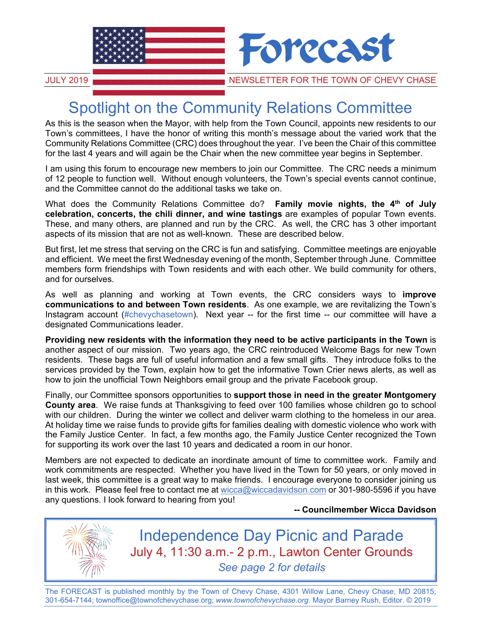

# Spotlight on the Community Relations Committee

As this is the season when the Mayor, with help from the Town Council, appoints new residents to our Town's committees, I have the honor of writing this month's message about the varied work that the Community Relations Committee (CRC) does throughout the year. I've been the Chair of this committee for the last 4 years and will again be the Chair when the new committee year begins in September.

I am using this forum to encourage new members to join our Committee. The CRC needs a minimum of 12 people to function well. Without enough volunteers, the Town's special events cannot continue, and the Committee cannot do the additional tasks we take on.

What does the Community Relations Committee do? **Family movie nights, the 4th of July celebration, concerts, the chili dinner, and wine tastings** are examples of popular Town events. These, and many others, are planned and run by the CRC. As well, the CRC has 3 other important aspects of its mission that are not as well-known. These are described below.

But first, let me stress that serving on the CRC is fun and satisfying. Committee meetings are enjoyable and efficient. We meet the first Wednesday evening of the month, September through June. Committee members form friendships with Town residents and with each other. We build community for others, and for ourselves.

As well as planning and working at Town events, the CRC considers ways to **improve communications to and between Town residents**. As one example, we are revitalizing the Town's Instagram account (#chevychasetown). Next year -- for the first time -- our committee will have a designated Communications leader.

**Providing new residents with the information they need to be active participants in the Town** is another aspect of our mission. Two years ago, the CRC reintroduced Welcome Bags for new Town residents. These bags are full of useful information and a few small gifts. They introduce folks to the services provided by the Town, explain how to get the informative Town Crier news alerts, as well as how to join the unofficial Town Neighbors email group and the private Facebook group.

Finally, our Committee sponsors opportunities to **support those in need in the greater Montgomery County area**. We raise funds at Thanksgiving to feed over 100 families whose children go to school with our children. During the winter we collect and deliver warm clothing to the homeless in our area. At holiday time we raise funds to provide gifts for families dealing with domestic violence who work with the Family Justice Center. In fact, a few months ago, the Family Justice Center recognized the Town for supporting its work over the last 10 years and dedicated a room in our honor.

Members are not expected to dedicate an inordinate amount of time to committee work. Family and work commitments are respected. Whether you have lived in the Town for 50 years, or only moved in last week, this committee is a great way to make friends. I encourage everyone to consider joining us in this work. Please feel free to contact me at wicca@wiccadavidson.com or 301-980-5596 if you have any questions. I look forward to hearing from you!

#### **-- Councilmember Wicca Davidson**



Independence Day Picnic and Parade July 4, 11:30 a.m.- 2 p.m., Lawton Center Grounds *See page 2 for details*

The FORECAST is published monthly by the Town of Chevy Chase, 4301 Willow Lane, Chevy Chase, MD 20815; 301-654-7144; townoffice@townofchevychase.org; *www.townofchevychase.org*. Mayor Barney Rush, Editor. © 2019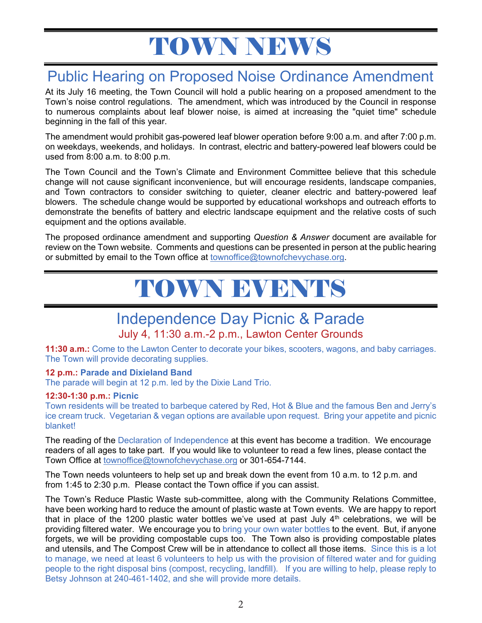# TOWN NEWS

## Public Hearing on Proposed Noise Ordinance Amendment

At its July 16 meeting, the Town Council will hold a public hearing on a proposed amendment to the Town's noise control regulations. The amendment, which was introduced by the Council in response to numerous complaints about leaf blower noise, is aimed at increasing the "quiet time" schedule beginning in the fall of this year.

The amendment would prohibit gas-powered leaf blower operation before 9:00 a.m. and after 7:00 p.m. on weekdays, weekends, and holidays. In contrast, electric and battery-powered leaf blowers could be used from 8:00 a.m. to 8:00 p.m.

The Town Council and the Town's Climate and Environment Committee believe that this schedule change will not cause significant inconvenience, but will encourage residents, landscape companies, and Town contractors to consider switching to quieter, cleaner electric and battery-powered leaf blowers. The schedule change would be supported by educational workshops and outreach efforts to demonstrate the benefits of battery and electric landscape equipment and the relative costs of such equipment and the options available.

The proposed ordinance amendment and supporting *Question & Answer* document are available for review on the Town website. Comments and questions can be presented in person at the public hearing or submitted by email to the Town office at townoffice@townofchevychase.org.

# TOWN EVENTS

## Independence Day Picnic & Parade

### July 4, 11:30 a.m.-2 p.m., Lawton Center Grounds

**11:30 a.m.:** Come to the Lawton Center to decorate your bikes, scooters, wagons, and baby carriages. The Town will provide decorating supplies.

#### **12 p.m.: Parade and Dixieland Band**

The parade will begin at 12 p.m. led by the Dixie Land Trio.

#### **12:30-1:30 p.m.: Picnic**

Town residents will be treated to barbeque catered by Red, Hot & Blue and the famous Ben and Jerry's ice cream truck. Vegetarian & vegan options are available upon request. Bring your appetite and picnic blanket!

The reading of the Declaration of Independence at this event has become a tradition. We encourage readers of all ages to take part. If you would like to volunteer to read a few lines, please contact the Town Office at townoffice@townofchevychase.org or 301-654-7144.

The Town needs volunteers to help set up and break down the event from 10 a.m. to 12 p.m. and from 1:45 to 2:30 p.m. Please contact the Town office if you can assist.

The Town's Reduce Plastic Waste sub-committee, along with the Community Relations Committee, have been working hard to reduce the amount of plastic waste at Town events. We are happy to report that in place of the 1200 plastic water bottles we've used at past July  $4<sup>th</sup>$  celebrations, we will be providing filtered water. We encourage you to bring your own water bottles to the event. But, if anyone forgets, we will be providing compostable cups too. The Town also is providing compostable plates and utensils, and The Compost Crew will be in attendance to collect all those items. Since this is a lot to manage, we need at least 6 volunteers to help us with the provision of filtered water and for guiding people to the right disposal bins (compost, recycling, landfill). If you are willing to help, please reply to Betsy Johnson at 240-461-1402, and she will provide more details.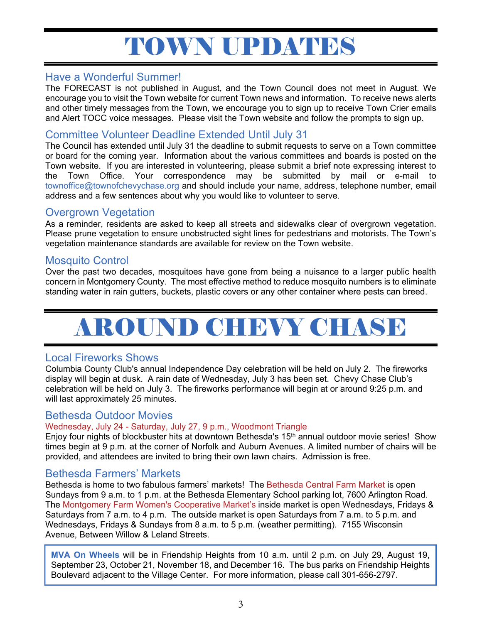# TOWN UPDATES

### Have a Wonderful Summer!

The FORECAST is not published in August, and the Town Council does not meet in August. We encourage you to visit the Town website for current Town news and information. To receive news alerts and other timely messages from the Town, we encourage you to sign up to receive Town Crier emails and Alert TOCC voice messages. Please visit the Town website and follow the prompts to sign up.

### Committee Volunteer Deadline Extended Until July 31

The Council has extended until July 31 the deadline to submit requests to serve on a Town committee or board for the coming year. Information about the various committees and boards is posted on the Town website. If you are interested in volunteering, please submit a brief note expressing interest to the Town Office. Your correspondence may be submitted by mail or e-mail to townoffice@townofchevychase.org and should include your name, address, telephone number, email address and a few sentences about why you would like to volunteer to serve.

### Overgrown Vegetation

As a reminder, residents are asked to keep all streets and sidewalks clear of overgrown vegetation. Please prune vegetation to ensure unobstructed sight lines for pedestrians and motorists. The Town's vegetation maintenance standards are available for review on the Town website.

#### Mosquito Control

Over the past two decades, mosquitoes have gone from being a nuisance to a larger public health concern in Montgomery County. The most effective method to reduce mosquito numbers is to eliminate standing water in rain gutters, buckets, plastic covers or any other container where pests can breed.

# AROUND CHEVY CHASE

### Local Fireworks Shows

Columbia County Club's annual Independence Day celebration will be held on July 2. The fireworks display will begin at dusk. A rain date of Wednesday, July 3 has been set. Chevy Chase Club's celebration will be held on July 3. The fireworks performance will begin at or around 9:25 p.m. and will last approximately 25 minutes.

#### Bethesda Outdoor Movies

#### Wednesday, July 24 - Saturday, July 27, 9 p.m., Woodmont Triangle

Enjoy four nights of blockbuster hits at downtown Bethesda's 15<sup>th</sup> annual outdoor movie series! Show times begin at 9 p.m. at the corner of Norfolk and Auburn Avenues. A limited number of chairs will be provided, and attendees are invited to bring their own lawn chairs. Admission is free.

## Bethesda Farmers' Markets

Bethesda is home to two fabulous farmers' markets! The Bethesda Central Farm Market is open Sundays from 9 a.m. to 1 p.m. at the Bethesda Elementary School parking lot, 7600 Arlington Road. The Montgomery Farm Women's Cooperative Market's inside market is open Wednesdays, Fridays & Saturdays from 7 a.m. to 4 p.m. The outside market is open Saturdays from 7 a.m. to 5 p.m. and Wednesdays, Fridays & Sundays from 8 a.m. to 5 p.m. (weather permitting). 7155 Wisconsin Avenue, Between Willow & Leland Streets.

**MVA On Wheels** will be in Friendship Heights from 10 a.m. until 2 p.m. on July 29, August 19, September 23, October 21, November 18, and December 16. The bus parks on Friendship Heights Boulevard adjacent to the Village Center. For more information, please call 301-656-2797.